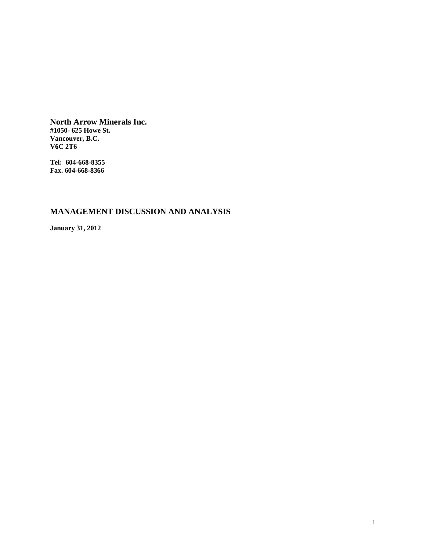**North Arrow Minerals Inc. #1050- 625 Howe St. Vancouver, B.C. V6C 2T6** 

**Tel: 604-668-8355 Fax. 604-668-8366** 

# **MANAGEMENT DISCUSSION AND ANALYSIS**

**January 31, 2012**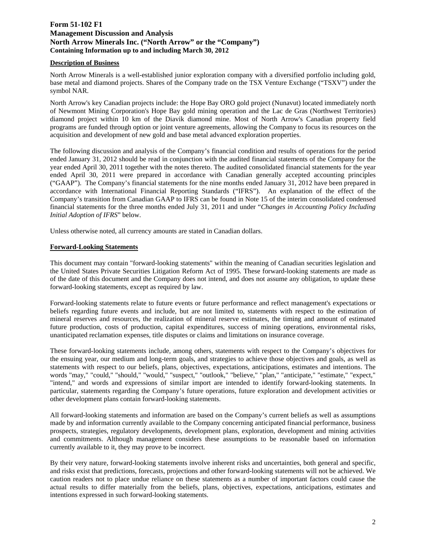# **Form 51-102 F1 Management Discussion and Analysis North Arrow Minerals Inc. ("North Arrow" or the "Company") Containing Information up to and including March 30, 2012**

#### **Description of Business**

North Arrow Minerals is a well-established junior exploration company with a diversified portfolio including gold, base metal and diamond projects. Shares of the Company trade on the TSX Venture Exchange ("TSXV") under the symbol NAR.

North Arrow's key Canadian projects include: the Hope Bay ORO gold project (Nunavut) located immediately north of Newmont Mining Corporation's Hope Bay gold mining operation and the Lac de Gras (Northwest Territories) diamond project within 10 km of the Diavik diamond mine. Most of North Arrow's Canadian property field programs are funded through option or joint venture agreements, allowing the Company to focus its resources on the acquisition and development of new gold and base metal advanced exploration properties.

The following discussion and analysis of the Company's financial condition and results of operations for the period ended January 31, 2012 should be read in conjunction with the audited financial statements of the Company for the year ended April 30, 2011 together with the notes thereto. The audited consolidated financial statements for the year ended April 30, 2011 were prepared in accordance with Canadian generally accepted accounting principles ("GAAP"). The Company's financial statements for the nine months ended January 31, 2012 have been prepared in accordance with International Financial Reporting Standards ("IFRS"). An explanation of the effect of the Company's transition from Canadian GAAP to IFRS can be found in Note 15 of the interim consolidated condensed financial statements for the three months ended July 31, 2011 and under "*Changes in Accounting Policy Including Initial Adoption of IFRS*" below.

Unless otherwise noted, all currency amounts are stated in Canadian dollars.

# **Forward-Looking Statements**

This document may contain "forward-looking statements" within the meaning of Canadian securities legislation and the United States Private Securities Litigation Reform Act of 1995. These forward-looking statements are made as of the date of this document and the Company does not intend, and does not assume any obligation, to update these forward-looking statements, except as required by law.

Forward-looking statements relate to future events or future performance and reflect management's expectations or beliefs regarding future events and include, but are not limited to, statements with respect to the estimation of mineral reserves and resources, the realization of mineral reserve estimates, the timing and amount of estimated future production, costs of production, capital expenditures, success of mining operations, environmental risks, unanticipated reclamation expenses, title disputes or claims and limitations on insurance coverage.

These forward-looking statements include, among others, statements with respect to the Company's objectives for the ensuing year, our medium and long-term goals, and strategies to achieve those objectives and goals, as well as statements with respect to our beliefs, plans, objectives, expectations, anticipations, estimates and intentions. The words "may," "could," "should," "would," "suspect," "outlook," "believe," "plan," "anticipate," "estimate," "expect," "intend," and words and expressions of similar import are intended to identify forward-looking statements. In particular, statements regarding the Company's future operations, future exploration and development activities or other development plans contain forward-looking statements.

All forward-looking statements and information are based on the Company's current beliefs as well as assumptions made by and information currently available to the Company concerning anticipated financial performance, business prospects, strategies, regulatory developments, development plans, exploration, development and mining activities and commitments. Although management considers these assumptions to be reasonable based on information currently available to it, they may prove to be incorrect.

By their very nature, forward-looking statements involve inherent risks and uncertainties, both general and specific, and risks exist that predictions, forecasts, projections and other forward-looking statements will not be achieved. We caution readers not to place undue reliance on these statements as a number of important factors could cause the actual results to differ materially from the beliefs, plans, objectives, expectations, anticipations, estimates and intentions expressed in such forward-looking statements.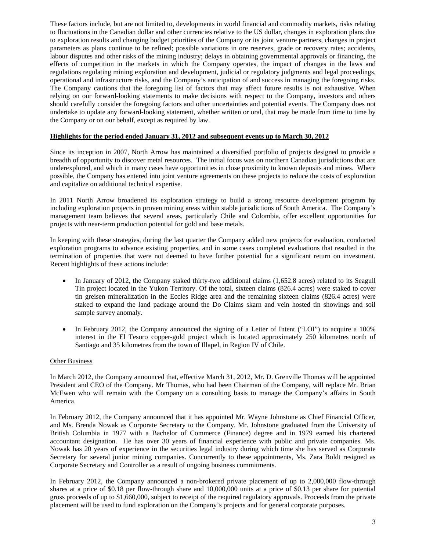These factors include, but are not limited to, developments in world financial and commodity markets, risks relating to fluctuations in the Canadian dollar and other currencies relative to the US dollar, changes in exploration plans due to exploration results and changing budget priorities of the Company or its joint venture partners, changes in project parameters as plans continue to be refined; possible variations in ore reserves, grade or recovery rates; accidents, labour disputes and other risks of the mining industry; delays in obtaining governmental approvals or financing, the effects of competition in the markets in which the Company operates, the impact of changes in the laws and regulations regulating mining exploration and development, judicial or regulatory judgments and legal proceedings, operational and infrastructure risks, and the Company's anticipation of and success in managing the foregoing risks. The Company cautions that the foregoing list of factors that may affect future results is not exhaustive. When relying on our forward-looking statements to make decisions with respect to the Company, investors and others should carefully consider the foregoing factors and other uncertainties and potential events. The Company does not undertake to update any forward-looking statement, whether written or oral, that may be made from time to time by the Company or on our behalf, except as required by law.

#### **Highlights for the period ended January 31, 2012 and subsequent events up to March 30, 2012**

Since its inception in 2007, North Arrow has maintained a diversified portfolio of projects designed to provide a breadth of opportunity to discover metal resources. The initial focus was on northern Canadian jurisdictions that are underexplored, and which in many cases have opportunities in close proximity to known deposits and mines. Where possible, the Company has entered into joint venture agreements on these projects to reduce the costs of exploration and capitalize on additional technical expertise.

In 2011 North Arrow broadened its exploration strategy to build a strong resource development program by including exploration projects in proven mining areas within stable jurisdictions of South America. The Company's management team believes that several areas, particularly Chile and Colombia, offer excellent opportunities for projects with near-term production potential for gold and base metals.

In keeping with these strategies, during the last quarter the Company added new projects for evaluation, conducted exploration programs to advance existing properties, and in some cases completed evaluations that resulted in the termination of properties that were not deemed to have further potential for a significant return on investment. Recent highlights of these actions include:

- In January of 2012, the Company staked thirty-two additional claims (1,652.8 acres) related to its Seagull Tin project located in the Yukon Territory. Of the total, sixteen claims (826.4 acres) were staked to cover tin greisen mineralization in the Eccles Ridge area and the remaining sixteen claims (826.4 acres) were staked to expand the land package around the Do Claims skarn and vein hosted tin showings and soil sample survey anomaly.
- In February 2012, the Company announced the signing of a Letter of Intent ("LOI") to acquire a 100% interest in the El Tesoro copper-gold project which is located approximately 250 kilometres north of Santiago and 35 kilometres from the town of Illapel, in Region IV of Chile.

#### Other Business

In March 2012, the Company announced that, effective March 31, 2012, Mr. D. Grenville Thomas will be appointed President and CEO of the Company. Mr Thomas, who had been Chairman of the Company, will replace Mr. Brian McEwen who will remain with the Company on a consulting basis to manage the Company's affairs in South America.

In February 2012, the Company announced that it has appointed Mr. Wayne Johnstone as Chief Financial Officer, and Ms. Brenda Nowak as Corporate Secretary to the Company. Mr. Johnstone graduated from the University of British Columbia in 1977 with a Bachelor of Commerce (Finance) degree and in 1979 earned his chartered accountant designation. He has over 30 years of financial experience with public and private companies. Ms. Nowak has 20 years of experience in the securities legal industry during which time she has served as Corporate Secretary for several junior mining companies. Concurrently to these appointments, Ms. Zara Boldt resigned as Corporate Secretary and Controller as a result of ongoing business commitments.

In February 2012, the Company announced a non-brokered private placement of up to 2,000,000 flow-through shares at a price of \$0.18 per flow-through share and 10,000,000 units at a price of \$0.13 per share for potential gross proceeds of up to \$1,660,000, subject to receipt of the required regulatory approvals. Proceeds from the private placement will be used to fund exploration on the Company's projects and for general corporate purposes.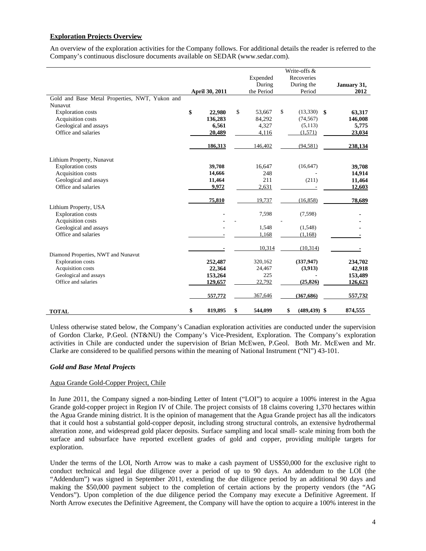# **Exploration Projects Overview**

An overview of the exploration activities for the Company follows. For additional details the reader is referred to the Company's continuous disclosure documents available on SEDAR (www.sedar.com).

|                                                |                |               | Write-offs &          |             |
|------------------------------------------------|----------------|---------------|-----------------------|-------------|
|                                                |                | Expended      | Recoveries            |             |
|                                                |                | During        | During the            | January 31, |
|                                                | April 30, 2011 | the Period    | Period                | 2012        |
| Gold and Base Metal Properties, NWT, Yukon and |                |               |                       |             |
| Nunavut                                        |                |               |                       |             |
| <b>Exploration</b> costs                       | \$<br>22,980   | \$<br>53,667  | \$<br>$(13,330)$ \$   | 63,317      |
| Acquisition costs                              | 136,283        | 84,292        | (74, 567)             | 146,008     |
| Geological and assays                          | 6,561          | 4,327         | (5,113)               | 5,775       |
| Office and salaries                            | 20,489         | 4,116         | (1,571)               | 23,034      |
|                                                | 186,313        | 146,402       | (94, 581)             | 238,134     |
| Lithium Property, Nunavut                      |                |               |                       |             |
| <b>Exploration</b> costs                       | 39,708         | 16,647        | (16, 647)             | 39,708      |
| Acquisition costs                              | 14,666         | 248           |                       | 14,914      |
| Geological and assays                          | 11,464         | 211           | (211)                 | 11,464      |
| Office and salaries                            | 9,972          | 2,631         |                       | 12,603      |
|                                                | 75,810         | 19,737        | (16, 858)             | 78,689      |
| Lithium Property, USA                          |                |               |                       |             |
| <b>Exploration</b> costs                       |                | 7,598         | (7,598)               |             |
| Acquisition costs                              |                |               |                       |             |
| Geological and assays                          |                | 1,548         | (1,548)               |             |
| Office and salaries                            |                | 1,168         | (1,168)               |             |
|                                                |                | 10,314        | (10, 314)             |             |
| Diamond Properties, NWT and Nunavut            |                |               |                       |             |
| <b>Exploration costs</b>                       | 252,487        | 320,162       | (337, 947)            | 234,702     |
| Acquisition costs                              | 22,364         | 24,467        | (3,913)               | 42,918      |
| Geological and assays                          | 153,264        | 225           |                       | 153,489     |
| Office and salaries                            | 129,657        | 22,792        | (25, 826)             | 126,623     |
|                                                | 557,772        | 367,646       | (367, 686)            | 557,732     |
| <b>TOTAL</b>                                   | \$<br>819,895  | \$<br>544,099 | $(489, 439)$ \$<br>\$ | 874,555     |

Unless otherwise stated below, the Company's Canadian exploration activities are conducted under the supervision of Gordon Clarke, P.Geol. (NT&NU) the Company's Vice-President, Exploration. The Company's exploration activities in Chile are conducted under the supervision of Brian McEwen, P.Geol. Both Mr. McEwen and Mr. Clarke are considered to be qualified persons within the meaning of National Instrument ("NI") 43-101.

# *Gold and Base Metal Projects*

# Agua Grande Gold-Copper Project, Chile

In June 2011, the Company signed a non-binding Letter of Intent ("LOI") to acquire a 100% interest in the Agua Grande gold-copper project in Region IV of Chile. The project consists of 18 claims covering 1,370 hectares within the Agua Grande mining district. It is the opinion of management that the Agua Grande project has all the indicators that it could host a substantial gold-copper deposit, including strong structural controls, an extensive hydrothermal alteration zone, and widespread gold placer deposits. Surface sampling and local small- scale mining from both the surface and subsurface have reported excellent grades of gold and copper, providing multiple targets for exploration.

Under the terms of the LOI, North Arrow was to make a cash payment of US\$50,000 for the exclusive right to conduct technical and legal due diligence over a period of up to 90 days. An addendum to the LOI (the "Addendum") was signed in September 2011, extending the due diligence period by an additional 90 days and making the \$50,000 payment subject to the completion of certain actions by the property vendors (the "AG Vendors"). Upon completion of the due diligence period the Company may execute a Definitive Agreement. If North Arrow executes the Definitive Agreement, the Company will have the option to acquire a 100% interest in the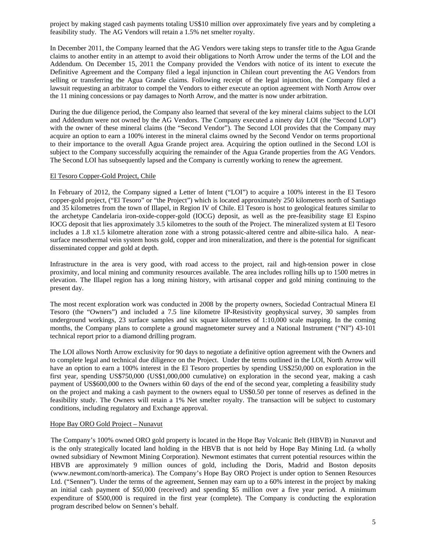project by making staged cash payments totaling US\$10 million over approximately five years and by completing a feasibility study. The AG Vendors will retain a 1.5% net smelter royalty.

In December 2011, the Company learned that the AG Vendors were taking steps to transfer title to the Agua Grande claims to another entity in an attempt to avoid their obligations to North Arrow under the terms of the LOI and the Addendum. On December 15, 2011 the Company provided the Vendors with notice of its intent to execute the Definitive Agreement and the Company filed a legal injunction in Chilean court preventing the AG Vendors from selling or transferring the Agua Grande claims. Following receipt of the legal injunction, the Company filed a lawsuit requesting an arbitrator to compel the Vendors to either execute an option agreement with North Arrow over the 11 mining concessions or pay damages to North Arrow, and the matter is now under arbitration.

During the due diligence period, the Company also learned that several of the key mineral claims subject to the LOI and Addendum were not owned by the AG Vendors. The Company executed a ninety day LOI (the "Second LOI") with the owner of these mineral claims (the "Second Vendor"). The Second LOI provides that the Company may acquire an option to earn a 100% interest in the mineral claims owned by the Second Vendor on terms proportional to their importance to the overall Agua Grande project area. Acquiring the option outlined in the Second LOI is subject to the Company successfully acquiring the remainder of the Agua Grande properties from the AG Vendors. The Second LOI has subsequently lapsed and the Company is currently working to renew the agreement.

#### El Tesoro Copper-Gold Project, Chile

In February of 2012, the Company signed a Letter of Intent ("LOI") to acquire a 100% interest in the El Tesoro copper-gold project, ("El Tesoro" or "the Project") which is located approximately 250 kilometres north of Santiago and 35 kilometres from the town of Illapel, in Region IV of Chile. El Tesoro is host to geological features similar to the archetype Candelaria iron-oxide-copper-gold (IOCG) deposit, as well as the pre-feasibility stage El Espino IOCG deposit that lies approximately 3.5 kilometres to the south of the Project. The mineralized system at El Tesoro includes a 1.8 x1.5 kilometre alteration zone with a strong potassic-altered centre and albite-silica halo. A nearsurface mesothermal vein system hosts gold, copper and iron mineralization, and there is the potential for significant disseminated copper and gold at depth.

Infrastructure in the area is very good, with road access to the project, rail and high-tension power in close proximity, and local mining and community resources available. The area includes rolling hills up to 1500 metres in elevation. The Illapel region has a long mining history, with artisanal copper and gold mining continuing to the present day.

The most recent exploration work was conducted in 2008 by the property owners, Sociedad Contractual Minera El Tesoro (the "Owners") and included a 7.5 line kilometre IP-Resistivity geophysical survey, 30 samples from underground workings, 23 surface samples and six square kilometres of 1:10,000 scale mapping. In the coming months, the Company plans to complete a ground magnetometer survey and a National Instrument ("NI") 43-101 technical report prior to a diamond drilling program.

The LOI allows North Arrow exclusivity for 90 days to negotiate a definitive option agreement with the Owners and to complete legal and technical due diligence on the Project. Under the terms outlined in the LOI, North Arrow will have an option to earn a 100% interest in the El Tesoro properties by spending US\$250,000 on exploration in the first year, spending US\$750,000 (US\$1,000,000 cumulative) on exploration in the second year, making a cash payment of US\$600,000 to the Owners within 60 days of the end of the second year, completing a feasibility study on the project and making a cash payment to the owners equal to US\$0.50 per tonne of reserves as defined in the feasibility study. The Owners will retain a 1% Net smelter royalty. The transaction will be subject to customary conditions, including regulatory and Exchange approval.

# Hope Bay ORO Gold Project – Nunavut

The Company's 100% owned ORO gold property is located in the Hope Bay Volcanic Belt (HBVB) in Nunavut and is the only strategically located land holding in the HBVB that is not held by Hope Bay Mining Ltd. (a wholly owned subsidiary of Newmont Mining Corporation). Newmont estimates that current potential resources within the HBVB are approximately 9 million ounces of gold, including the Doris, Madrid and Boston deposits (www.newmont.com/north-america). The Company's Hope Bay ORO Project is under option to Sennen Resources Ltd. ("Sennen"). Under the terms of the agreement, Sennen may earn up to a 60% interest in the project by making an initial cash payment of \$50,000 (received) and spending \$5 million over a five year period. A minimum expenditure of \$500,000 is required in the first year (complete). The Company is conducting the exploration program described below on Sennen's behalf.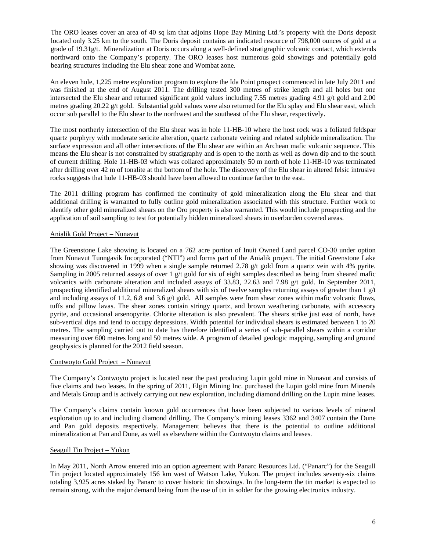The ORO leases cover an area of 40 sq km that adjoins Hope Bay Mining Ltd.'s property with the Doris deposit located only 3.25 km to the south. The Doris deposit contains an indicated resource of 798,000 ounces of gold at a grade of 19.31g/t. Mineralization at Doris occurs along a well-defined stratigraphic volcanic contact, which extends northward onto the Company's property. The ORO leases host numerous gold showings and potentially gold bearing structures including the Elu shear zone and Wombat zone.

An eleven hole, 1,225 metre exploration program to explore the Ida Point prospect commenced in late July 2011 and was finished at the end of August 2011. The drilling tested 300 metres of strike length and all holes but one intersected the Elu shear and returned significant gold values including 7.55 metres grading 4.91 g/t gold and 2.00 metres grading 20.22 g/t gold. Substantial gold values were also returned for the Elu splay and Elu shear east, which occur sub parallel to the Elu shear to the northwest and the southeast of the Elu shear, respectively.

The most northerly intersection of the Elu shear was in hole 11-HB-10 where the host rock was a foliated feldspar quartz porphyry with moderate sericite alteration, quartz carbonate veining and related sulphide mineralization. The surface expression and all other intersections of the Elu shear are within an Archean mafic volcanic sequence. This means the Elu shear is not constrained by stratigraphy and is open to the north as well as down dip and to the south of current drilling. Hole 11-HB-03 which was collared approximately 50 m north of hole 11-HB-10 was terminated after drilling over 42 m of tonalite at the bottom of the hole. The discovery of the Elu shear in altered felsic intrusive rocks suggests that hole 11-HB-03 should have been allowed to continue farther to the east.

The 2011 drilling program has confirmed the continuity of gold mineralization along the Elu shear and that additional drilling is warranted to fully outline gold mineralization associated with this structure. Further work to identify other gold mineralized shears on the Oro property is also warranted. This would include prospecting and the application of soil sampling to test for potentially hidden mineralized shears in overburden covered areas.

# Anialik Gold Project – Nunavut

The Greenstone Lake showing is located on a 762 acre portion of Inuit Owned Land parcel CO-30 under option from Nunavut Tunngavik Incorporated ("NTI") and forms part of the Anialik project. The initial Greenstone Lake showing was discovered in 1999 when a single sample returned 2.78 g/t gold from a quartz vein with 4% pyrite. Sampling in 2005 returned assays of over 1 g/t gold for six of eight samples described as being from sheared mafic volcanics with carbonate alteration and included assays of 33.83, 22.63 and 7.98 g/t gold. In September 2011, prospecting identified additional mineralized shears with six of twelve samples returning assays of greater than  $1 \frac{g}{t}$ and including assays of 11.2, 6.8 and 3.6 g/t gold. All samples were from shear zones within mafic volcanic flows, tuffs and pillow lavas. The shear zones contain stringy quartz, and brown weathering carbonate, with accessory pyrite, and occasional arsenopyrite. Chlorite alteration is also prevalent. The shears strike just east of north, have sub-vertical dips and tend to occupy depressions. Width potential for individual shears is estimated between 1 to 20 metres. The sampling carried out to date has therefore identified a series of sub-parallel shears within a corridor measuring over 600 metres long and 50 metres wide. A program of detailed geologic mapping, sampling and ground geophysics is planned for the 2012 field season.

# Contwoyto Gold Project – Nunavut

The Company's Contwoyto project is located near the past producing Lupin gold mine in Nunavut and consists of five claims and two leases. In the spring of 2011, Elgin Mining Inc. purchased the Lupin gold mine from Minerals and Metals Group and is actively carrying out new exploration, including diamond drilling on the Lupin mine leases.

The Company's claims contain known gold occurrences that have been subjected to various levels of mineral exploration up to and including diamond drilling. The Company's mining leases 3362 and 3407 contain the Dune and Pan gold deposits respectively. Management believes that there is the potential to outline additional mineralization at Pan and Dune, as well as elsewhere within the Contwoyto claims and leases.

# Seagull Tin Project – Yukon

In May 2011, North Arrow entered into an option agreement with Panarc Resources Ltd. ("Panarc") for the Seagull Tin project located approximately 156 km west of Watson Lake, Yukon. The project includes seventy-six claims totaling 3,925 acres staked by Panarc to cover historic tin showings. In the long-term the tin market is expected to remain strong, with the major demand being from the use of tin in solder for the growing electronics industry.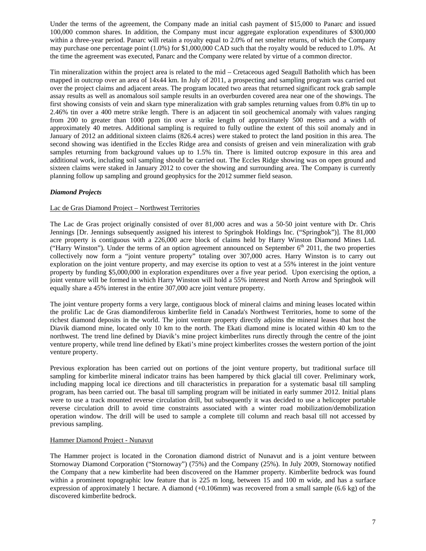Under the terms of the agreement, the Company made an initial cash payment of \$15,000 to Panarc and issued 100,000 common shares. In addition, the Company must incur aggregate exploration expenditures of \$300,000 within a three-year period. Panarc will retain a royalty equal to 2.0% of net smelter returns, of which the Company may purchase one percentage point (1.0%) for \$1,000,000 CAD such that the royalty would be reduced to 1.0%. At the time the agreement was executed, Panarc and the Company were related by virtue of a common director.

Tin mineralization within the project area is related to the mid – Cretaceous aged Seagull Batholith which has been mapped in outcrop over an area of 14x44 km. In July of 2011, a prospecting and sampling program was carried out over the project claims and adjacent areas. The program located two areas that returned significant rock grab sample assay results as well as anomalous soil sample results in an overburden covered area near one of the showings. The first showing consists of vein and skarn type mineralization with grab samples returning values from 0.8% tin up to 2.46% tin over a 400 metre strike length. There is an adjacent tin soil geochemical anomaly with values ranging from 200 to greater than 1000 ppm tin over a strike length of approximately 500 metres and a width of approximately 40 metres. Additional sampling is required to fully outline the extent of this soil anomaly and in January of 2012 an additional sixteen claims (826.4 acres) were staked to protect the land position in this area. The second showing was identified in the Eccles Ridge area and consists of greisen and vein mineralization with grab samples returning from background values up to 1.5% tin. There is limited outcrop exposure in this area and additional work, including soil sampling should be carried out. The Eccles Ridge showing was on open ground and sixteen claims were staked in January 2012 to cover the showing and surrounding area. The Company is currently planning follow up sampling and ground geophysics for the 2012 summer field season.

# *Diamond Projects*

# Lac de Gras Diamond Project – Northwest Territories

The Lac de Gras project originally consisted of over 81,000 acres and was a 50-50 joint venture with Dr. Chris Jennings [Dr. Jennings subsequently assigned his interest to Springbok Holdings Inc. ("Springbok")]. The 81,000 acre property is contiguous with a 226,000 acre block of claims held by Harry Winston Diamond Mines Ltd. ("Harry Winston"). Under the terms of an option agreement announced on September  $6<sup>th</sup>$  2011, the two properties collectively now form a "joint venture property" totaling over 307,000 acres. Harry Winston is to carry out exploration on the joint venture property, and may exercise its option to vest at a 55% interest in the joint venture property by funding \$5,000,000 in exploration expenditures over a five year period. Upon exercising the option, a joint venture will be formed in which Harry Winston will hold a 55% interest and North Arrow and Springbok will equally share a 45% interest in the entire 307,000 acre joint venture property.

The joint venture property forms a very large, contiguous block of mineral claims and mining leases located within the prolific Lac de Gras diamondiferous kimberlite field in Canada's Northwest Territories, home to some of the richest diamond deposits in the world. The joint venture property directly adjoins the mineral leases that host the Diavik diamond mine, located only 10 km to the north. The Ekati diamond mine is located within 40 km to the northwest. The trend line defined by Diavik's mine project kimberlites runs directly through the centre of the joint venture property, while trend line defined by Ekati's mine project kimberlites crosses the western portion of the joint venture property.

Previous exploration has been carried out on portions of the joint venture property, but traditional surface till sampling for kimberlite mineral indicator trains has been hampered by thick glacial till cover. Preliminary work, including mapping local ice directions and till characteristics in preparation for a systematic basal till sampling program, has been carried out. The basal till sampling program will be initiated in early summer 2012. Initial plans were to use a track mounted reverse circulation drill, but subsequently it was decided to use a helicopter portable reverse circulation drill to avoid time constraints associated with a winter road mobilization/demobilization operation window. The drill will be used to sample a complete till column and reach basal till not accessed by previous sampling.

#### Hammer Diamond Project - Nunavut

The Hammer project is located in the Coronation diamond district of Nunavut and is a joint venture between Stornoway Diamond Corporation ("Stornoway") (75%) and the Company (25%). In July 2009, Stornoway notified the Company that a new kimberlite had been discovered on the Hammer property. Kimberlite bedrock was found within a prominent topographic low feature that is 225 m long, between 15 and 100 m wide, and has a surface expression of approximately 1 hectare. A diamond (+0.106mm) was recovered from a small sample (6.6 kg) of the discovered kimberlite bedrock.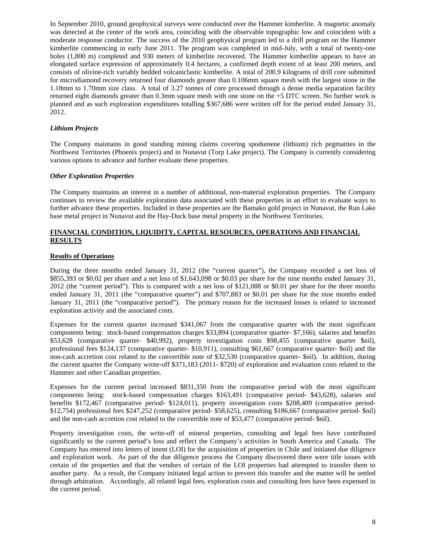In September 2010, ground geophysical surveys were conducted over the Hammer kimberlite. A magnetic anomaly was detected at the center of the work area, coinciding with the observable topographic low and coincident with a moderate response conductor. The success of the 2010 geophysical program led to a drill program on the Hammer kimberlite commencing in early June 2011. The program was completed in mid-July, with a total of twenty-one holes (1,800 m) completed and 930 meters of kimberlite recovered. The Hammer kimberlite appears to have an elongated surface expression of approximately 0.4 hectares, a confirmed depth extent of at least 200 meters, and consists of olivine-rich variably bedded volcaniclastic kimberlite. A total of 200.9 kilograms of drill core submitted for microdiamond recovery returned four diamonds greater than 0.106mm square mesh with the largest stone in the 1.18mm to 1.70mm size class. A total of 3.27 tonnes of core processed through a dense media separation facility returned eight diamonds greater than 0.3mm square mesh with one stone on the +5 DTC screen. No further work is planned and as such exploration expenditures totalling \$367,686 were written off for the period ended January 31, 2012.

# *Lithium Projects*

The Company maintains in good standing mining claims covering spodumene (lithium) rich pegmatites in the Northwest Territories (Phoenix project) and in Nunavut (Torp Lake project). The Company is currently considering various options to advance and further evaluate these properties.

#### *Other Exploration Properties*

The Company maintains an interest in a number of additional, non-material exploration properties. The Company continues to review the available exploration data associated with these properties in an effort to evaluate ways to further advance these properties. Included in these properties are the Bamako gold project in Nunavut, the Run Lake base metal project in Nunavut and the Hay-Duck base metal property in the Northwest Territories.

# **FINANCIAL CONDITION, LIQUIDITY, CAPITAL RESOURCES, OPERATIONS AND FINANCIAL RESULTS**

#### **Results of Operations**

During the three months ended January 31, 2012 (the "current quarter"), the Company recorded a net loss of \$855,393 or \$0.02 per share and a net loss of \$1,643,098 or \$0.03 per share for the nine months ended January 31, 2012 (the "current period"). This is compared with a net loss of \$121,088 or \$0.01 per share for the three months ended January 31, 2011 (the "comparative quarter") and \$707,883 or \$0.01 per share for the nine months ended January 31, 2011 (the "comparative period"). The primary reason for the increased losses is related to increased exploration activity and the associated costs.

Expenses for the current quarter increased \$341,067 from the comparative quarter with the most significant components being: stock-based compensation charges \$33,894 (comparative quarter- \$7,166), salaries and benefits \$53,628 (comparative quarter- \$40,992), property investigation costs \$98,455 (comparative quarter \$nil), professional fees \$124,137 (comparative quarter- \$10,911), consulting \$61,667 (comparative quarter- \$nil) and the non-cash accretion cost related to the convertible note of \$32,530 (comparative quarter- \$nil). In addition, during the current quarter the Company wrote-off \$371,183 (2011- \$720) of exploration and evaluation costs related to the Hammer and other Canadian properties.

Expenses for the current period increased \$831,350 from the comparative period with the most significant components being: stock-based compensation charges \$163,491 (comparative period- \$43,628), salaries and benefits \$172,467 (comparative period- \$124,011), property investigation costs \$208,409 (comparative period- \$12,754) professional fees \$247,252 (comparative period- \$58,625), consulting \$186,667 (comparative period- \$nil) and the non-cash accretion cost related to the convertible note of \$53,477 (comparative period- \$nil).

Property investigation costs, the write-off of mineral properties, consulting and legal fees have contributed significantly to the current period's loss and reflect the Company's activities in South America and Canada. The Company has entered into letters of intent (LOI) for the acquisition of properties in Chile and initiated due diligence and exploration work. As part of the due diligence process the Company discovered there were title issues with certain of the properties and that the vendors of certain of the LOI properties had attempted to transfer them to another party. As a result, the Company initiated legal action to prevent this transfer and the matter will be settled through arbitration. Accordingly, all related legal fees, exploration costs and consulting fees have been expensed in the current period.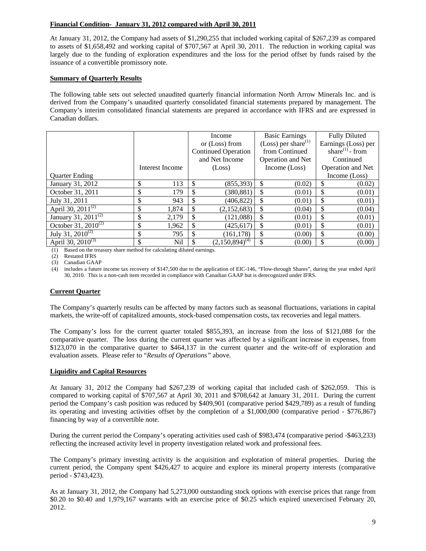# **Financial Condition- January 31, 2012 compared with April 30, 2011**

At January 31, 2012, the Company had assets of \$1,290,255 that included working capital of \$267,239 as compared to assets of \$1,658,492 and working capital of \$707,567 at April 30, 2011. The reduction in working capital was largely due to the funding of exploration expenditures and the loss for the period offset by funds raised by the issuance of a convertible promissory note.

# **Summary of Quarterly Results**

The following table sets out selected unaudited quarterly financial information North Arrow Minerals Inc. and is derived from the Company's unaudited quarterly consolidated financial statements prepared by management. The Company's interim consolidated financial statements are prepared in accordance with IFRS and are expressed in Canadian dollars.

|                           |    |                 |        | Income                     | <b>Basic Earnings</b>           |        | <b>Fully Diluted</b>        |                     |
|---------------------------|----|-----------------|--------|----------------------------|---------------------------------|--------|-----------------------------|---------------------|
|                           |    |                 |        | or (Loss) from             | (Loss) per share <sup>(1)</sup> |        |                             | Earnings (Loss) per |
|                           |    |                 |        | <b>Continued Operation</b> | from Continued                  |        | share <sup>(1)</sup> - from |                     |
|                           |    |                 |        | and Net Income             | <b>Operation and Net</b>        |        | Continued                   |                     |
|                           |    | Interest Income | (Loss) |                            | Income (Loss)                   |        | Operation and Net           |                     |
| <b>Ouarter Ending</b>     |    |                 |        |                            |                                 |        |                             | Income (Loss)       |
| January 31, 2012          | \$ | 113             | \$     | (855, 393)                 | \$                              | (0.02) | \$                          | (0.02)              |
| October 31, 2011          | \$ | 179             | \$     | (380, 881)                 | \$                              | (0.01) | \$                          | (0.01)              |
| July 31, 2011             | \$ | 943             | \$     | (406, 822)                 | \$                              | (0.01) | \$                          | (0.01)              |
| April 30, $2011^{(2)}$    | S  | 1,874           | \$     | (2,152,683)                | \$                              | (0.04) | \$                          | (0.04)              |
| January 31, 2011 $^{(2)}$ | \$ | 2,179           |        | (121,088)                  | \$                              | (0.01) | \$                          | (0.01)              |
| October 31, $2010^{(2)}$  |    | 1,962           |        | (425.617)                  | \$                              | (0.01) | \$                          | (0.01)              |
| July 31, $2010^{(2)}$     | \$ | 795             |        | (161, 178)                 | \$                              | (0.00) | \$                          | (0.00)              |
| April 30, $2010^{(3)}$    |    | Nil             |        | $(2,150,894)^{(4)}$        | \$                              | (0.00) | \$                          | (0.00)              |

(1) Based on the treasury share method for calculating diluted earnings.

(2) Restated IFRS

(3) Canadian GAAP

(4) includes a future income tax recovery of \$147,500 due to the application of EIC-146, "Flow-through Shares", during the year ended April 30, 2010. This is a non-cash item recorded in compliance with Canadian GAAP but is derecognized under IFRS.

# **Current Quarter**

The Company's quarterly results can be affected by many factors such as seasonal fluctuations, variations in capital markets, the write-off of capitalized amounts, stock-based compensation costs, tax recoveries and legal matters.

The Company's loss for the current quarter totaled \$855,393, an increase from the loss of \$121,088 for the comparative quarter. The loss during the current quarter was affected by a significant increase in expenses, from \$123,070 in the comparative quarter to \$464,137 in the current quarter and the write-off of exploration and evaluation assets. Please refer to "*Results of Operations"* above*.* 

# **Liquidity and Capital Resources**

At January 31, 2012 the Company had \$267,239 of working capital that included cash of \$262,059. This is compared to working capital of \$707,567 at April 30, 2011 and \$708,642 at January 31, 2011. During the current period the Company's cash position was reduced by \$409,901 (comparative period \$429,789) as a result of funding its operating and investing activities offset by the completion of a \$1,000,000 (comparative period - \$776,867) financing by way of a convertible note.

During the current period the Company's operating activities used cash of \$983,474 (comparative period -\$463,233) reflecting the increased activity level in property investigation related work and professional fees.

The Company's primary investing activity is the acquisition and exploration of mineral properties. During the current period, the Company spent \$426,427 to acquire and explore its mineral property interests (comparative period - \$743,423).

As at January 31, 2012, the Company had 5,273,000 outstanding stock options with exercise prices that range from \$0.20 to \$0.40 and 1,979,167 warrants with an exercise price of \$0.25 which expired unexercised February 20, 2012.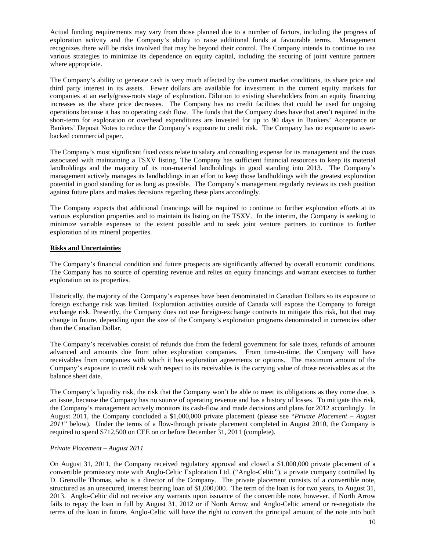Actual funding requirements may vary from those planned due to a number of factors, including the progress of exploration activity and the Company's ability to raise additional funds at favourable terms. Management recognizes there will be risks involved that may be beyond their control. The Company intends to continue to use various strategies to minimize its dependence on equity capital, including the securing of joint venture partners where appropriate.

The Company's ability to generate cash is very much affected by the current market conditions, its share price and third party interest in its assets. Fewer dollars are available for investment in the current equity markets for companies at an early/grass-roots stage of exploration. Dilution to existing shareholders from an equity financing increases as the share price decreases. The Company has no credit facilities that could be used for ongoing operations because it has no operating cash flow. The funds that the Company does have that aren't required in the short-term for exploration or overhead expenditures are invested for up to 90 days in Bankers' Acceptance or Bankers' Deposit Notes to reduce the Company's exposure to credit risk. The Company has no exposure to assetbacked commercial paper.

The Company's most significant fixed costs relate to salary and consulting expense for its management and the costs associated with maintaining a TSXV listing. The Company has sufficient financial resources to keep its material landholdings and the majority of its non-material landholdings in good standing into 2013. The Company's management actively manages its landholdings in an effort to keep those landholdings with the greatest exploration potential in good standing for as long as possible. The Company's management regularly reviews its cash position against future plans and makes decisions regarding these plans accordingly.

The Company expects that additional financings will be required to continue to further exploration efforts at its various exploration properties and to maintain its listing on the TSXV. In the interim, the Company is seeking to minimize variable expenses to the extent possible and to seek joint venture partners to continue to further exploration of its mineral properties.

# **Risks and Uncertainties**

The Company's financial condition and future prospects are significantly affected by overall economic conditions. The Company has no source of operating revenue and relies on equity financings and warrant exercises to further exploration on its properties.

Historically, the majority of the Company's expenses have been denominated in Canadian Dollars so its exposure to foreign exchange risk was limited. Exploration activities outside of Canada will expose the Company to foreign exchange risk. Presently, the Company does not use foreign-exchange contracts to mitigate this risk, but that may change in future, depending upon the size of the Company's exploration programs denominated in currencies other than the Canadian Dollar.

The Company's receivables consist of refunds due from the federal government for sale taxes, refunds of amounts advanced and amounts due from other exploration companies. From time-to-time, the Company will have receivables from companies with which it has exploration agreements or options. The maximum amount of the Company's exposure to credit risk with respect to its receivables is the carrying value of those receivables as at the balance sheet date.

The Company's liquidity risk, the risk that the Company won't be able to meet its obligations as they come due, is an issue, because the Company has no source of operating revenue and has a history of losses. To mitigate this risk, the Company's management actively monitors its cash-flow and made decisions and plans for 2012 accordingly. In August 2011, the Company concluded a \$1,000,000 private placement (please see "*Private Placement – August 2011*" below). Under the terms of a flow-through private placement completed in August 2010, the Company is required to spend \$712,500 on CEE on or before December 31, 2011 (complete).

# *Private Placement – August 2011*

On August 31, 2011, the Company received regulatory approval and closed a \$1,000,000 private placement of a convertible promissory note with Anglo-Celtic Exploration Ltd. ("Anglo-Celtic"), a private company controlled by D. Grenville Thomas, who is a director of the Company. The private placement consists of a convertible note, structured as an unsecured, interest bearing loan of \$1,000,000. The term of the loan is for two years, to August 31, 2013. Anglo-Celtic did not receive any warrants upon issuance of the convertible note, however, if North Arrow fails to repay the loan in full by August 31, 2012 or if North Arrow and Anglo-Celtic amend or re-negotiate the terms of the loan in future, Anglo-Celtic will have the right to convert the principal amount of the note into both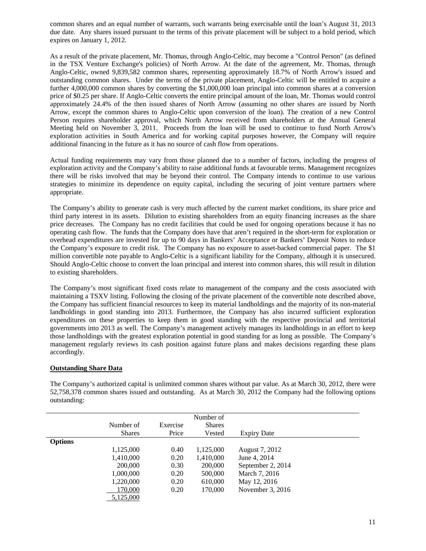common shares and an equal number of warrants, such warrants being exercisable until the loan's August 31, 2013 due date. Any shares issued pursuant to the terms of this private placement will be subject to a hold period, which expires on January 1, 2012.

As a result of the private placement, Mr. Thomas, through Anglo-Celtic, may become a "Control Person" (as defined in the TSX Venture Exchange's policies) of North Arrow. At the date of the agreement, Mr. Thomas, through Anglo-Celtic, owned 9,839,582 common shares, representing approximately 18.7% of North Arrow's issued and outstanding common shares. Under the terms of the private placement, Anglo-Celtic will be entitled to acquire a further 4,000,000 common shares by converting the \$1,000,000 loan principal into common shares at a conversion price of \$0.25 per share. If Anglo-Celtic converts the entire principal amount of the loan, Mr. Thomas would control approximately 24.4% of the then issued shares of North Arrow (assuming no other shares are issued by North Arrow, except the common shares to Anglo-Celtic upon conversion of the loan). The creation of a new Control Person requires shareholder approval, which North Arrow received from shareholders at the Annual General Meeting held on November 3, 2011. Proceeds from the loan will be used to continue to fund North Arrow's exploration activities in South America and for working capital purposes however, the Company will require additional financing in the future as it has no source of cash flow from operations.

Actual funding requirements may vary from those planned due to a number of factors, including the progress of exploration activity and the Company's ability to raise additional funds at favourable terms. Management recognizes there will be risks involved that may be beyond their control. The Company intends to continue to use various strategies to minimize its dependence on equity capital, including the securing of joint venture partners where appropriate.

The Company's ability to generate cash is very much affected by the current market conditions, its share price and third party interest in its assets. Dilution to existing shareholders from an equity financing increases as the share price decreases. The Company has no credit facilities that could be used for ongoing operations because it has no operating cash flow. The funds that the Company does have that aren't required in the short-term for exploration or overhead expenditures are invested for up to 90 days in Bankers' Acceptance or Bankers' Deposit Notes to reduce the Company's exposure to credit risk. The Company has no exposure to asset-backed commercial paper. The \$1 million convertible note payable to Anglo-Celtic is a significant liability for the Company, although it is unsecured. Should Anglo-Celtic choose to convert the loan principal and interest into common shares, this will result in dilution to existing shareholders.

The Company's most significant fixed costs relate to management of the company and the costs associated with maintaining a TSXV listing. Following the closing of the private placement of the convertible note described above, the Company has sufficient financial resources to keep its material landholdings and the majority of its non-material landholdings in good standing into 2013. Furthermore, the Company has also incurred sufficient exploration expenditures on these properties to keep them in good standing with the respective provincial and territorial governments into 2013 as well. The Company's management actively manages its landholdings in an effort to keep those landholdings with the greatest exploration potential in good standing for as long as possible. The Company's management regularly reviews its cash position against future plans and makes decisions regarding these plans accordingly.

# **Outstanding Share Data**

|                |               |          | Number of     |                    |  |
|----------------|---------------|----------|---------------|--------------------|--|
|                | Number of     | Exercise | <b>Shares</b> |                    |  |
|                | <b>Shares</b> | Price    | Vested        | <b>Expiry Date</b> |  |
| <b>Options</b> |               |          |               |                    |  |
|                | 1,125,000     | 0.40     | 1,125,000     | August 7, 2012     |  |
|                | 1,410,000     | 0.20     | 1,410,000     | June 4, 2014       |  |
|                | 200,000       | 0.30     | 200,000       | September 2, 2014  |  |
|                | 1,000,000     | 0.20     | 500,000       | March 7, 2016      |  |
|                | 1,220,000     | 0.20     | 610,000       | May 12, 2016       |  |
|                | 170,000       | 0.20     | 170,000       | November 3, 2016   |  |
|                | 5,125,000     |          |               |                    |  |

The Company's authorized capital is unlimited common shares without par value. As at March 30, 2012, there were 52,758,378 common shares issued and outstanding. As at March 30, 2012 the Company had the following options outstanding: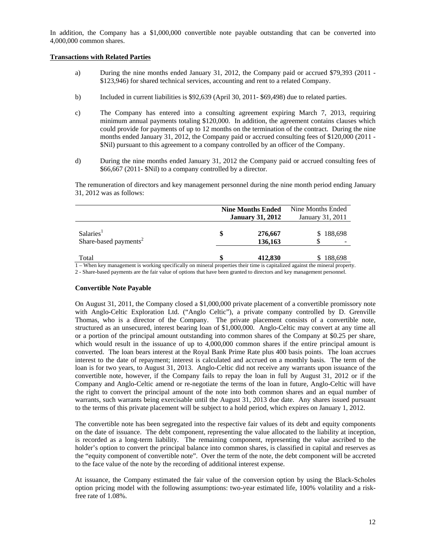In addition, the Company has a \$1,000,000 convertible note payable outstanding that can be converted into 4,000,000 common shares.

#### **Transactions with Related Parties**

- a) During the nine months ended January 31, 2012, the Company paid or accrued \$79,393 (2011 \$123,946) for shared technical services, accounting and rent to a related Company.
- b) Included in current liabilities is \$92,639 (April 30, 2011- \$69,498) due to related parties.
- c) The Company has entered into a consulting agreement expiring March 7, 2013, requiring minimum annual payments totaling \$120,000. In addition, the agreement contains clauses which could provide for payments of up to 12 months on the termination of the contract. During the nine months ended January 31, 2012, the Company paid or accrued consulting fees of \$120,000 (2011 -\$Nil) pursuant to this agreement to a company controlled by an officer of the Company.
- d) During the nine months ended January 31, 2012 the Company paid or accrued consulting fees of \$66,667 (2011- \$Nil) to a company controlled by a director.

 The remuneration of directors and key management personnel during the nine month period ending January 31, 2012 was as follows:

|                                                            | <b>Nine Months Ended</b><br><b>January 31, 2012</b> | Nine Months Ended<br>January 31, 2011 |
|------------------------------------------------------------|-----------------------------------------------------|---------------------------------------|
| Salaries <sup>1</sup><br>Share-based payments <sup>2</sup> | 276,667<br>136,163                                  | \$188,698                             |
| Total                                                      | 412,830                                             | \$188,698                             |

1 – When key management is working specifically on mineral properties their time is capitalized against the mineral property.

2 - Share-based payments are the fair value of options that have been granted to directors and key management personnel.

#### **Convertible Note Payable**

On August 31, 2011, the Company closed a \$1,000,000 private placement of a convertible promissory note with Anglo-Celtic Exploration Ltd. ("Anglo Celtic"), a private company controlled by D. Grenville Thomas, who is a director of the Company. The private placement consists of a convertible note, structured as an unsecured, interest bearing loan of \$1,000,000. Anglo-Celtic may convert at any time all or a portion of the principal amount outstanding into common shares of the Company at \$0.25 per share, which would result in the issuance of up to 4,000,000 common shares if the entire principal amount is converted. The loan bears interest at the Royal Bank Prime Rate plus 400 basis points. The loan accrues interest to the date of repayment; interest is calculated and accrued on a monthly basis. The term of the loan is for two years, to August 31, 2013. Anglo-Celtic did not receive any warrants upon issuance of the convertible note, however, if the Company fails to repay the loan in full by August 31, 2012 or if the Company and Anglo-Celtic amend or re-negotiate the terms of the loan in future, Anglo-Celtic will have the right to convert the principal amount of the note into both common shares and an equal number of warrants, such warrants being exercisable until the August 31, 2013 due date. Any shares issued pursuant to the terms of this private placement will be subject to a hold period, which expires on January 1, 2012.

The convertible note has been segregated into the respective fair values of its debt and equity components on the date of issuance. The debt component, representing the value allocated to the liability at inception, is recorded as a long-term liability. The remaining component, representing the value ascribed to the holder's option to convert the principal balance into common shares, is classified in capital and reserves as the "equity component of convertible note". Over the term of the note, the debt component will be accreted to the face value of the note by the recording of additional interest expense.

At issuance, the Company estimated the fair value of the conversion option by using the Black-Scholes option pricing model with the following assumptions: two-year estimated life, 100% volatility and a riskfree rate of 1.08%.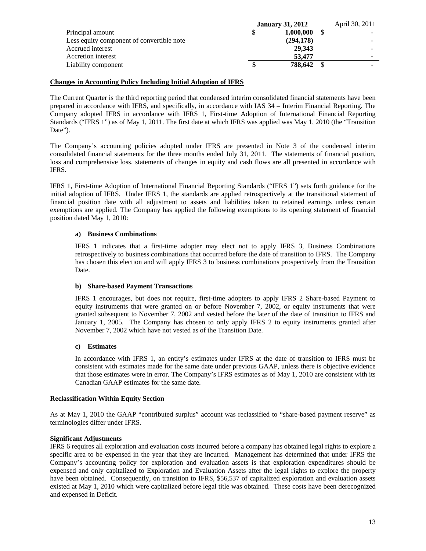|                                           | <b>January 31, 2012</b> | April 30, 2011 |  |
|-------------------------------------------|-------------------------|----------------|--|
| Principal amount                          |                         | 1,000,000      |  |
| Less equity component of convertible note |                         | (294, 178)     |  |
| Accrued interest                          |                         | 29.343         |  |
| Accretion interest                        |                         | 53,477         |  |
| Liability component                       |                         | 788,642        |  |

#### **Changes in Accounting Policy Including Initial Adoption of IFRS**

The Current Quarter is the third reporting period that condensed interim consolidated financial statements have been prepared in accordance with IFRS, and specifically, in accordance with IAS 34 – Interim Financial Reporting. The Company adopted IFRS in accordance with IFRS 1, First-time Adoption of International Financial Reporting Standards ("IFRS 1") as of May 1, 2011. The first date at which IFRS was applied was May 1, 2010 (the "Transition Date").

The Company's accounting policies adopted under IFRS are presented in Note 3 of the condensed interim consolidated financial statements for the three months ended July 31, 2011. The statements of financial position, loss and comprehensive loss, statements of changes in equity and cash flows are all presented in accordance with IFRS.

IFRS 1, First-time Adoption of International Financial Reporting Standards ("IFRS 1") sets forth guidance for the initial adoption of IFRS. Under IFRS 1, the standards are applied retrospectively at the transitional statement of financial position date with all adjustment to assets and liabilities taken to retained earnings unless certain exemptions are applied. The Company has applied the following exemptions to its opening statement of financial position dated May 1, 2010:

#### **a) Business Combinations**

IFRS 1 indicates that a first-time adopter may elect not to apply IFRS 3, Business Combinations retrospectively to business combinations that occurred before the date of transition to IFRS. The Company has chosen this election and will apply IFRS 3 to business combinations prospectively from the Transition Date.

#### **b) Share-based Payment Transactions**

IFRS 1 encourages, but does not require, first-time adopters to apply IFRS 2 Share-based Payment to equity instruments that were granted on or before November 7, 2002, or equity instruments that were granted subsequent to November 7, 2002 and vested before the later of the date of transition to IFRS and January 1, 2005. The Company has chosen to only apply IFRS 2 to equity instruments granted after November 7, 2002 which have not vested as of the Transition Date.

#### **c) Estimates**

In accordance with IFRS 1, an entity's estimates under IFRS at the date of transition to IFRS must be consistent with estimates made for the same date under previous GAAP, unless there is objective evidence that those estimates were in error. The Company's IFRS estimates as of May 1, 2010 are consistent with its Canadian GAAP estimates for the same date.

#### **Reclassification Within Equity Section**

As at May 1, 2010 the GAAP "contributed surplus" account was reclassified to "share-based payment reserve" as terminologies differ under IFRS.

# **Significant Adjustments**

IFRS 6 requires all exploration and evaluation costs incurred before a company has obtained legal rights to explore a specific area to be expensed in the year that they are incurred. Management has determined that under IFRS the Company's accounting policy for exploration and evaluation assets is that exploration expenditures should be expensed and only capitalized to Exploration and Evaluation Assets after the legal rights to explore the property have been obtained. Consequently, on transition to IFRS, \$56,537 of capitalized exploration and evaluation assets existed at May 1, 2010 which were capitalized before legal title was obtained. These costs have been derecognized and expensed in Deficit.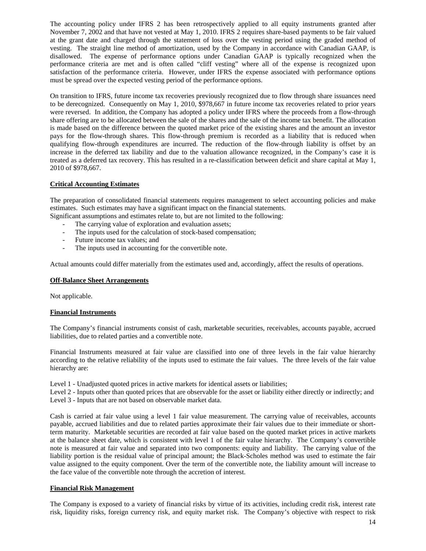The accounting policy under IFRS 2 has been retrospectively applied to all equity instruments granted after November 7, 2002 and that have not vested at May 1, 2010. IFRS 2 requires share-based payments to be fair valued at the grant date and charged through the statement of loss over the vesting period using the graded method of vesting. The straight line method of amortization, used by the Company in accordance with Canadian GAAP, is disallowed. The expense of performance options under Canadian GAAP is typically recognized when the performance criteria are met and is often called "cliff vesting" where all of the expense is recognized upon satisfaction of the performance criteria. However, under IFRS the expense associated with performance options must be spread over the expected vesting period of the performance options.

On transition to IFRS, future income tax recoveries previously recognized due to flow through share issuances need to be derecognized. Consequently on May 1, 2010, \$978,667 in future income tax recoveries related to prior years were reversed. In addition, the Company has adopted a policy under IFRS where the proceeds from a flow-through share offering are to be allocated between the sale of the shares and the sale of the income tax benefit. The allocation is made based on the difference between the quoted market price of the existing shares and the amount an investor pays for the flow-through shares. This flow-through premium is recorded as a liability that is reduced when qualifying flow-through expenditures are incurred. The reduction of the flow-through liability is offset by an increase in the deferred tax liability and due to the valuation allowance recognized, in the Company's case it is treated as a deferred tax recovery. This has resulted in a re-classification between deficit and share capital at May 1, 2010 of \$978,667.

# **Critical Accounting Estimates**

The preparation of consolidated financial statements requires management to select accounting policies and make estimates. Such estimates may have a significant impact on the financial statements.

- Significant assumptions and estimates relate to, but are not limited to the following:
	- The carrying value of exploration and evaluation assets;
	- The inputs used for the calculation of stock-based compensation;
	- Future income tax values; and
	- The inputs used in accounting for the convertible note.

Actual amounts could differ materially from the estimates used and, accordingly, affect the results of operations.

# **Off-Balance Sheet Arrangements**

Not applicable.

# **Financial Instruments**

The Company's financial instruments consist of cash, marketable securities, receivables, accounts payable, accrued liabilities, due to related parties and a convertible note.

Financial Instruments measured at fair value are classified into one of three levels in the fair value hierarchy according to the relative reliability of the inputs used to estimate the fair values. The three levels of the fair value hierarchy are:

Level 1 - Unadjusted quoted prices in active markets for identical assets or liabilities;

Level 2 - Inputs other than quoted prices that are observable for the asset or liability either directly or indirectly; and

Level 3 - Inputs that are not based on observable market data.

Cash is carried at fair value using a level 1 fair value measurement. The carrying value of receivables, accounts payable, accrued liabilities and due to related parties approximate their fair values due to their immediate or shortterm maturity. Marketable securities are recorded at fair value based on the quoted market prices in active markets at the balance sheet date, which is consistent with level 1 of the fair value hierarchy. The Company's convertible note is measured at fair value and separated into two components: equity and liability. The carrying value of the liability portion is the residual value of principal amount; the Black-Scholes method was used to estimate the fair value assigned to the equity component. Over the term of the convertible note, the liability amount will increase to the face value of the convertible note through the accretion of interest.

# **Financial Risk Management**

The Company is exposed to a variety of financial risks by virtue of its activities, including credit risk, interest rate risk, liquidity risks, foreign currency risk, and equity market risk. The Company's objective with respect to risk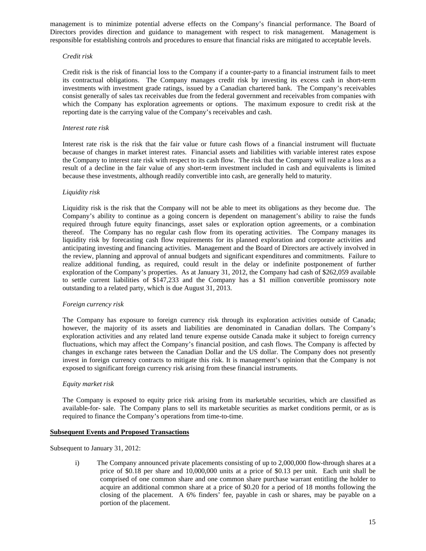management is to minimize potential adverse effects on the Company's financial performance. The Board of Directors provides direction and guidance to management with respect to risk management. Management is responsible for establishing controls and procedures to ensure that financial risks are mitigated to acceptable levels.

#### *Credit risk*

Credit risk is the risk of financial loss to the Company if a counter-party to a financial instrument fails to meet its contractual obligations. The Company manages credit risk by investing its excess cash in short-term investments with investment grade ratings, issued by a Canadian chartered bank. The Company's receivables consist generally of sales tax receivables due from the federal government and receivables from companies with which the Company has exploration agreements or options. The maximum exposure to credit risk at the reporting date is the carrying value of the Company's receivables and cash.

#### *Interest rate risk*

Interest rate risk is the risk that the fair value or future cash flows of a financial instrument will fluctuate because of changes in market interest rates. Financial assets and liabilities with variable interest rates expose the Company to interest rate risk with respect to its cash flow. The risk that the Company will realize a loss as a result of a decline in the fair value of any short-term investment included in cash and equivalents is limited because these investments, although readily convertible into cash, are generally held to maturity.

#### *Liquidity risk*

Liquidity risk is the risk that the Company will not be able to meet its obligations as they become due. The Company's ability to continue as a going concern is dependent on management's ability to raise the funds required through future equity financings, asset sales or exploration option agreements, or a combination thereof. The Company has no regular cash flow from its operating activities. The Company manages its liquidity risk by forecasting cash flow requirements for its planned exploration and corporate activities and anticipating investing and financing activities. Management and the Board of Directors are actively involved in the review, planning and approval of annual budgets and significant expenditures and commitments. Failure to realize additional funding, as required, could result in the delay or indefinite postponement of further exploration of the Company's properties. As at January 31, 2012, the Company had cash of \$262,059 available to settle current liabilities of \$147,233 and the Company has a \$1 million convertible promissory note outstanding to a related party, which is due August 31, 2013.

#### *Foreign currency risk*

The Company has exposure to foreign currency risk through its exploration activities outside of Canada; however, the majority of its assets and liabilities are denominated in Canadian dollars. The Company's exploration activities and any related land tenure expense outside Canada make it subject to foreign currency fluctuations, which may affect the Company's financial position, and cash flows. The Company is affected by changes in exchange rates between the Canadian Dollar and the US dollar. The Company does not presently invest in foreign currency contracts to mitigate this risk. It is management's opinion that the Company is not exposed to significant foreign currency risk arising from these financial instruments.

#### *Equity market risk*

The Company is exposed to equity price risk arising from its marketable securities, which are classified as available-for- sale. The Company plans to sell its marketable securities as market conditions permit, or as is required to finance the Company's operations from time-to-time.

#### **Subsequent Events and Proposed Transactions**

Subsequent to January 31, 2012:

i) The Company announced private placements consisting of up to 2,000,000 flow-through shares at a price of \$0.18 per share and 10,000,000 units at a price of \$0.13 per unit. Each unit shall be comprised of one common share and one common share purchase warrant entitling the holder to acquire an additional common share at a price of \$0.20 for a period of 18 months following the closing of the placement. A 6% finders' fee, payable in cash or shares, may be payable on a portion of the placement.